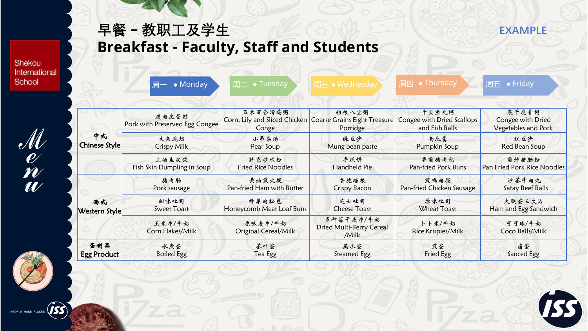Shekou International School

 $\frac{\mathscr{M}}{\mathscr{U}}$ 

早餐-教职工及学生

**Breakfast - Faculty, Staff and Students** 

|                            | 周— • Monday                             | $\overline{m}$ • Tuesday               | 周三 • Wednesday                                                                      | <b>• Thursday</b><br>周四                               | 周五 $\overline{\phantom{a}}\bullet$ Friday                |
|----------------------------|-----------------------------------------|----------------------------------------|-------------------------------------------------------------------------------------|-------------------------------------------------------|----------------------------------------------------------|
| 中式<br><b>Chinese Style</b> | 瘦肉皮蛋粥<br>Pork with Preserved Egg Congee | 玉米百合滑鸡粥<br>Conge                       | 粗粮八宝粥<br>Corn, Lily and Sliced Chicken   Coarse Grains Eight Treasure  <br>Porridge | 干贝鱼丸粥<br>Congee with Dried Scallops<br>and Fish Balls | 菜干烧骨粥<br>Congee with Dried<br><b>Vegetables and Pork</b> |
|                            | 大良脆奶<br><b>Crispy Milk</b>              | 小吊梨汤<br>Pear Soup                      | 绿豆沙<br>Mung bean paste                                                              | 南瓜羹<br>Pumpkin Soup                                   | 红豆沙<br>Red Bean Soup                                     |
|                            | 上汤鱼皮饺<br>Fish Skin Dumpling in Soup     | 特色炒米粉<br><b>Fried Rice Noodles</b>     | 手抓饼<br>Handheld Pie                                                                 | 香煎猪肉包<br>Pan-fried Pork Buns                          | 煎炒猪肠粉<br>Pan Fried Pork Rice Noodles                     |
|                            | 猪肉肠<br>Pork sausage                     | 黄油煎火腿<br>Pan-fried Ham with Butter     | 香脆培根<br>Crispy Bacon                                                                | 煎鸡肉肠<br>Pan-fried Chicken Sausage                     | 沙茶牛肉丸<br>Satay Beef Balls                                |
| 西式<br>Western Style        | 甜味吐司<br><b>Sweet Toast</b>              | 蜂巢肉松包<br>Honeycomb Meat Loaf Buns      | 芝士吐司<br><b>Cheese Toast</b>                                                         | 原味吐司<br><b>Wheat Toast</b>                            | 火腿蛋三文治<br>Ham and Egg Sandwich                           |
|                            | 玉米片/牛奶<br>Corn Flakes/Milk              | 原味麦片/牛奶<br><b>Original Cereal/Milk</b> | 多种莓干麦片/牛奶<br><b>Dried Multi-Berry Cereal</b><br>/Milk                               | 卜卜米/牛奶<br>Rice Krispies/Milk                          | 可可球/牛奶<br>Coco Balls/Milk                                |
| 蛋制品<br><b>Egg Product</b>  | 水煮蛋<br><b>Boiled Egg</b>                | 茶叶蛋<br>Tea Egg                         | 蒸水蛋<br>Steamed Egg                                                                  | 煎蛋<br>Fried Egg                                       | 卤蛋<br>Sauced Egg                                         |

**EXAMPLE** 

**ES** 



PEOPLE MAKE PLACES (**ISS**)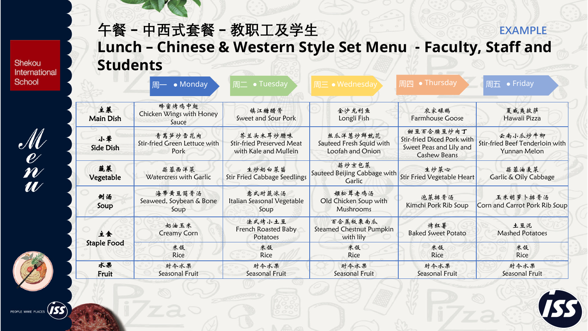Shekou International School

 $\frac{\mathscr{M}}{\mathscr{U}}$ 



## **午餐 – 中西式套餐 – 教职工及学生 Lunch – Chinese & Western Style Set Menu - Faculty, Staff and Students EXAMPLE**

|                        | 周— • Monday                                      | $\bullet$ Tuesday<br>周二                                               | 周三 • Wednesday                                           | 周四  ● Thursday'                                                                           | 周五 ● Friday                                                |
|------------------------|--------------------------------------------------|-----------------------------------------------------------------------|----------------------------------------------------------|-------------------------------------------------------------------------------------------|------------------------------------------------------------|
| 主菜<br><b>Main Dish</b> | 蜂蜜烤鸡中翅<br>Chicken Wings with Honey<br>Sauce      | 镇江糖醋骨<br>Sweet and Sour Pork                                          | 金沙龙利鱼<br>Longli Fish                                     | 农家碌鹅<br><b>Farmhouse Goose</b>                                                            | 夏威夷披萨<br>Hawaii Pizza                                      |
| 小革<br>Side Dish        | 青莴笋炒雪花肉<br>Stir-fried Green Lettuce with<br>Pork | 芥兰头木耳炒腊味<br><b>Stir-fried Preserved Meat</b><br>with Kale and Mullein | 丝瓜洋葱炒鲜鱿花<br>Sauteed Fresh Squid with<br>Loofah and Onion | 甜豆百合腰豆炒肉丁<br>Stir-fried Diced Pork with<br>Sweet Peas and Lily and<br><b>Cashew Beans</b> | 云南小瓜炒牛柳<br>Stir-fried Beef Tenderloin with<br>Yunnan Melon |
| 蔬菜<br>Vegetable        | 蒜蓉西洋菜<br>Watercress with Garlic                  | 生炒奶白菜苗<br><b>Stir Fried Cabbage Seedlings</b>                         | 蒜炒京包菜<br>Sauteed Beijing Cabbage with<br>Garlic          | 生炒菜心<br><b>Stir Fried Vegetable Heart</b>                                                 | 蒜蓉油麦菜<br>Garlic & Oily Cabbage                             |
| 倒汤<br>Soup             | 海带黄豆筒骨汤<br>Seaweed, Soybean & Bone<br>Soup       | 意式时蔬浓汤<br>Italian Seasonal Vegetable<br>Soup                          | 姬松茸老鸡汤<br>Old Chicken Soup with<br>Mushrooms             | 泡菜排骨汤<br>Kimchi Pork Rib Soup                                                             | 玉米胡萝卜排骨汤<br>Corn and Carrot Pork Rib Soup                  |
| 主食                     | 奶油玉米<br><b>Creamy Corn</b>                       | 法式烤小土豆<br>French Roasted Baby<br>Potatoes                             | 百合蒸板栗南瓜<br><b>Steamed Chestnut Pumpkin</b><br>with lily  | 烤红薯<br><b>Baked Sweet Potato</b>                                                          | 土豆泥<br><b>Mashed Potatoes</b>                              |
| <b>Staple Food</b>     | 米饭<br>Rice                                       | 米饭<br>Rice                                                            | 米饭<br>Rice                                               | 米饭<br>Rice                                                                                | 米饭<br>Rice                                                 |
| 水果<br>Fruit            | 时令水果<br>Seasonal Fruit                           | 时令水果<br>Seasonal Fruit                                                | 时令水果<br>Seasonal Fruit                                   | 时令水果<br>Seasonal Fruit                                                                    | 肘令水果<br>Seasonal Fruit                                     |

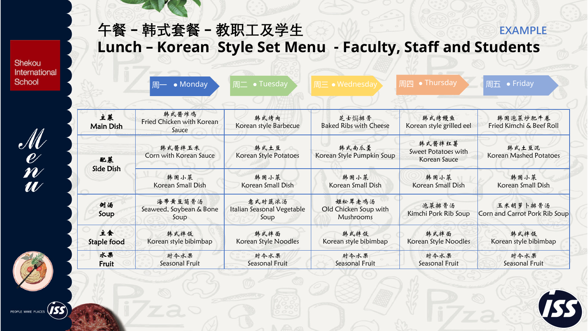**午餐 – 韩式套餐 – 教职工及学生 Lunch – Korean Style Set Menu - Faculty, Staff and Students EXAMPLE** 

Shekou International School

 $\frac{\mathscr{M}}{\mathscr{U}}$ 

|                        | • Monday<br>周一                              | • Tuesday<br>周二                              | 周三 • Wednesday                                      | 周四 • Thursday                                 | 周五 • Friday                               |
|------------------------|---------------------------------------------|----------------------------------------------|-----------------------------------------------------|-----------------------------------------------|-------------------------------------------|
| 主菜<br><b>Main Dish</b> | 韩式酱炸鸡<br>Fried Chicken with Korean<br>Sauce | 韩式烤肉<br>Korean style Barbecue                | 芝士焗排骨<br><b>Baked Ribs with Cheese</b>              | 韩式烤鳗鱼<br>Korean style grilled eel             | 韩国泡菜炒肥牛卷<br>Fried Kimchi & Beef Roll      |
| 配菜                     | 韩式酱拌玉米<br>Corn with Korean Sauce            | 韩式土豆<br>Korean Style Potatoes                | 韩式南瓜羹<br>Korean Style Pumpkin Soup                  | 韩式酱拌红薯<br>Sweet Potatoes with<br>Korean Sauce | 韩式土豆泥<br>Korean Mashed Potatoes           |
| Side Dish              | 韩国小菜<br>Korean Small Dish                   | 韩国小菜<br>Korean Small Dish                    | 韩国小菜<br>Korean Small Dish                           | 韩国小菜<br>Korean Small Dish                     | 韩国小菜<br>Korean Small Dish                 |
| 倒汤<br>Soup             | 海带黄豆筒骨汤<br>Seaweed, Soybean & Bone<br>Soup  | 意式时蔬浓汤<br>Italian Seasonal Vegetable<br>Soup | 姬松茸老鸡汤<br>Old Chicken Soup with<br><b>Mushrooms</b> | 泡菜排骨汤<br>Kimchi Pork Rib Soup                 | 玉米胡萝卜排骨汤<br>Corn and Carrot Pork Rib Soup |
| 主食<br>Staple food      | 韩式拌饭<br>Korean style bibimbap               | 韩式拌面<br>Korean Style Noodles                 | 韩式拌饭<br>Korean style bibimbap                       | 韩式拌面<br>Korean Style Noodles                  | 韩式拌饭<br>Korean style bibimbap             |
| 水果<br>Fruit            | 肘令水果<br>Seasonal Fruit                      | 时令水果<br>Seasonal Fruit                       | 时令水果<br>Seasonal Fruit                              | 肘令水果<br>Seasonal Fruit                        | 时令水果<br>Seasonal Fruit                    |

**BS** 



 $\hat{J}$ ss PEOPLE MAKE PLACES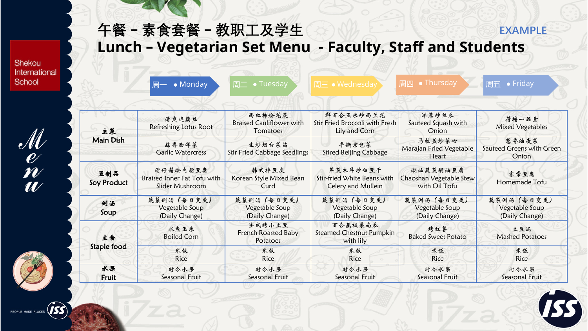Shekou International School

 $\frac{\mathscr{M}}{\mathscr{U}}$ 

|                    | • Monday<br>周一                                             | 周二 • Tuesday                                          | 周三 • Wednesday                                                | 周四 • Thursday                                        | 周五 • Friday                                    |
|--------------------|------------------------------------------------------------|-------------------------------------------------------|---------------------------------------------------------------|------------------------------------------------------|------------------------------------------------|
| 主菜                 | 清爽连藕丝<br>Refreshing Lotus Root                             | 西红柿烩花菜<br><b>Braised Cauliflower with</b><br>Tomatoes | 鲜百合玉米炒西兰花<br>Stir Fried Broccoli with Fresh<br>Lily and Corn  | 洋葱炒丝瓜<br>Sauteed Squash with<br>Onion                | 荷塘一品素<br><b>Mixed Vegetables</b>               |
| <b>Main Dish</b>   | 蒜香西洋菜<br><b>Garlic Watercress</b>                          | 生炒奶白菜苗<br><b>Stir Fried Cabbage Seedlings</b>         | 手撕京包菜<br><b>Stired Beijing Cabbage</b>                        | 马拉盖炒菜心<br>Marajan Fried Vegetable<br>Heart           | 葱香油麦菜<br>Sauteed Greens with Green<br>Onion    |
| 豆制品<br>Soy Product | 滑仔菇烩内脂豆腐<br>Braised Inner Fat Tofu with<br>Slider Mushroom | 韩式拌豆皮<br>Korean Style Mixed Bean<br>Curd              | 芹菜木耳炒白豆干<br>Stir-fried White Beans with<br>Celery and Mullein | 潮汕蔬菜焖油豆腐<br>Chaoshan Vegetable Stew<br>with Oil Tofu | 家常豆腐<br>Homemade Tofu                          |
| 例汤<br>Soup         | 蔬菜例汤(每日变更)<br>Vegetable Soup<br>(Daily Change)             | 蔬菜例汤(每日变更)<br>Vegetable Soup<br>(Daily Change)        | 蔬菜例汤(每日变更)<br>Vegetable Soup<br>(Daily Change)                | 蔬菜例汤(每日变更)<br>Vegetable Soup<br>(Daily Change)       | 蔬菜例汤(每日变更)<br>Vegetable Soup<br>(Daily Change) |
| 主食<br>Staple food  | 水煮玉米<br><b>Boiled Corn</b>                                 | 法式烤小土豆<br>French Roasted Baby<br>Potatoes             | 百合蒸板栗南瓜<br><b>Steamed Chestnut Pumpkin</b><br>with lily       | 烤红薯<br><b>Baked Sweet Potato</b>                     | 土豆泥<br><b>Mashed Potatoes</b>                  |
|                    | 米饭<br><b>Rice</b>                                          | 米饭<br><b>Rice</b>                                     | 米饭<br><b>Rice</b>                                             | 米饭<br><b>Rice</b>                                    | 米饭<br><b>Rice</b>                              |
| 水果<br>Fruit        | 肘令水果<br>Seasonal Fruit                                     | 时令水果<br>Seasonal Fruit                                | 肘令水果<br>Seasonal Fruit                                        | 时令水果<br>Seasonal Fruit                               | 时令水果<br>Seasonal Fruit                         |

**Lunch – Vegetarian Set Menu - Faculty, Staff and Students** 

**午餐 – 素食套餐 – 教职工及学生**







**EXAMPLE**